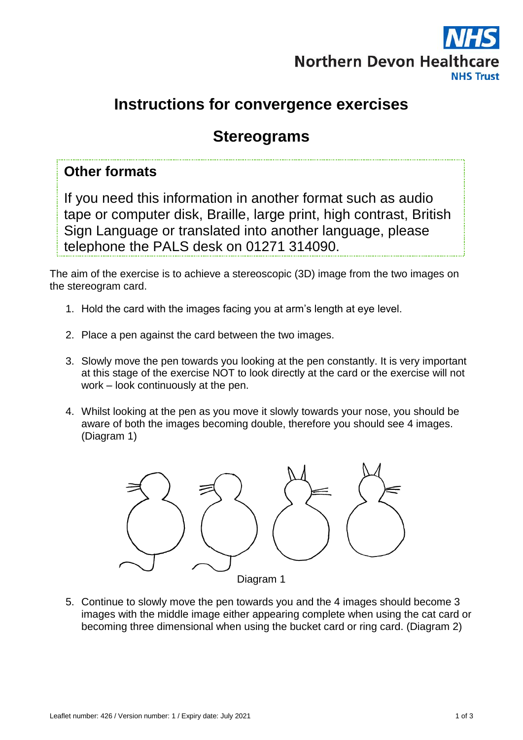

# **Instructions for convergence exercises**

# **Stereograms**

### **Other formats**

If you need this information in another format such as audio tape or computer disk, Braille, large print, high contrast, British Sign Language or translated into another language, please telephone the PALS desk on 01271 314090.

The aim of the exercise is to achieve a stereoscopic (3D) image from the two images on the stereogram card.

- 1. Hold the card with the images facing you at arm's length at eye level.
- 2. Place a pen against the card between the two images.
- 3. Slowly move the pen towards you looking at the pen constantly. It is very important at this stage of the exercise NOT to look directly at the card or the exercise will not work – look continuously at the pen.
- 4. Whilst looking at the pen as you move it slowly towards your nose, you should be aware of both the images becoming double, therefore you should see 4 images. (Diagram 1)



5. Continue to slowly move the pen towards you and the 4 images should become 3 images with the middle image either appearing complete when using the cat card or becoming three dimensional when using the bucket card or ring card. (Diagram 2)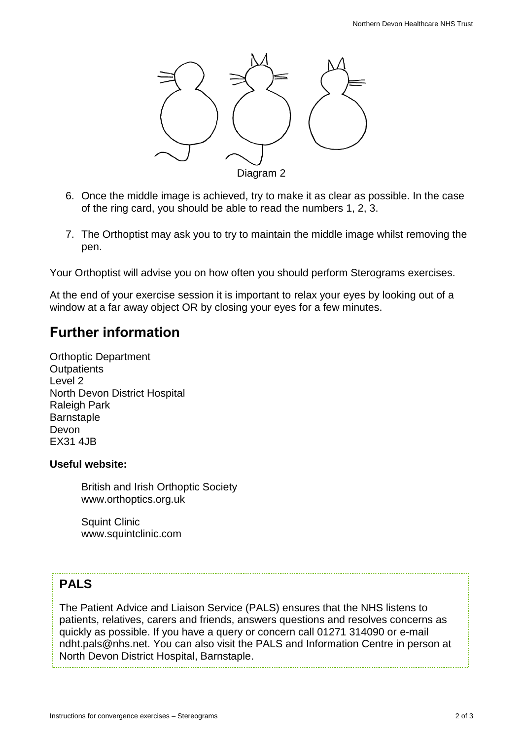

- 6. Once the middle image is achieved, try to make it as clear as possible. In the case of the ring card, you should be able to read the numbers 1, 2, 3.
- 7. The Orthoptist may ask you to try to maintain the middle image whilst removing the pen.

Your Orthoptist will advise you on how often you should perform Sterograms exercises.

At the end of your exercise session it is important to relax your eyes by looking out of a window at a far away object OR by closing your eyes for a few minutes.

## **Further information**

Orthoptic Department **Outpatients** Level 2 North Devon District Hospital Raleigh Park **Barnstaple** Devon EX31 4JB

#### **Useful website:**

British and Irish Orthoptic Society www.orthoptics.org.uk

Squint Clinic www.squintclinic.com

### **PALS**

The Patient Advice and Liaison Service (PALS) ensures that the NHS listens to patients, relatives, carers and friends, answers questions and resolves concerns as quickly as possible. If you have a query or concern call 01271 314090 or e-mail ndht.pals@nhs.net. You can also visit the PALS and Information Centre in person at North Devon District Hospital, Barnstaple.